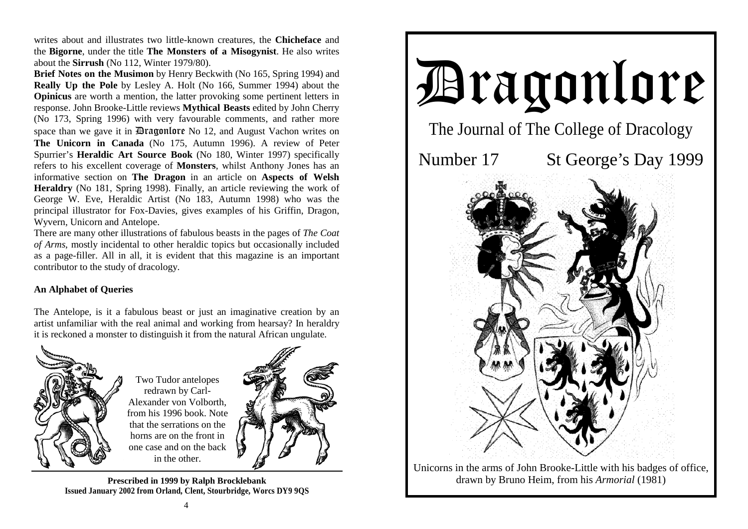writes about and illustrates two little-known creatures, the **Chicheface** and the **Bigorne**, under the title **The Monsters of a Misogynist**. He also writes about the **Sirrush** (No 112, Winter 1979/80).

**Brief Notes on the Musimon** by Henry Beckwith (No 165, Spring 1994) and **Really Up the Pole** by Lesley A. Holt (No 166, Summer 1994) about the **Opinicus** are worth a mention, the latter provoking some pertinent letters in response. John Brooke-Little reviews **Mythical Beasts** edited by John Cherry (No 173, Spring 1996) with very favourable comments, and rather more space than we gave it in **Dragonlore** No 12, and August Vachon writes on **The Unicorn in Canada** (No 175, Autumn 1996). A review of Peter Spurrier's **Heraldic Art Source Book** (No 180, Winter 1997) specifically refers to his excellent coverage of **Monsters**, whilst Anthony Jones has an informative section on **The Dragon** in an article on **Aspects of Welsh Heraldry** (No 181, Spring 1998). Finally, an article reviewing the work of George W. Eve, Heraldic Artist (No 183, Autumn 1998) who was the principal illustrator for Fox-Davies, gives examples of his Griffin, Dragon, Wyvern, Unicorn and Antelope.

There are many other illustrations of fabulous beasts in the pages of *The Coat of Arms*, mostly incidental to other heraldic topics but occasionally included as a page-filler. All in all, it is evident that this magazine is an important contributor to the study of dracology.

## **An Alphabet of Queries**

The Antelope, is it a fabulous beast or just an imaginative creation by an artist unfamiliar with the real animal and working from hearsay? In heraldry it is reckoned a monster to distinguish it from the natural African ungulate.



**Prescribed in 1999 by Ralph Brocklebank Issued January 2002 from Orland, Clent, Stourbridge, Worcs DY9 9QS** 



Unicorns in the arms of John Brooke-Little with his badges of office, drawn by Bruno Heim, from his *Armorial* (1981)